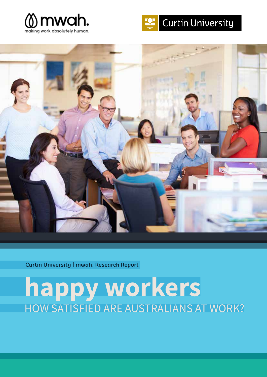





**Curtin University | mwah. Research Report**

# **happy workers** HOW SATISFIED ARE AUSTRALIANS AT WORK?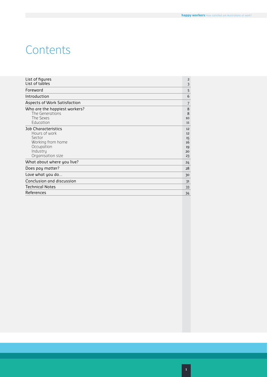## **Contents**

| List of figures                                                                                                           | $\overline{2}$                         |
|---------------------------------------------------------------------------------------------------------------------------|----------------------------------------|
| List of tables                                                                                                            | 3                                      |
| Foreword                                                                                                                  | 5                                      |
| Introduction                                                                                                              | 6                                      |
| Aspects of Work Satisfaction                                                                                              | 7                                      |
| Who are the happiest workers?<br>The Generations<br>The Sexes<br>Education                                                | 8<br>8<br>10<br>11                     |
| <b>Job Characteristics</b><br>Hours of work<br>Sector<br>Working from home<br>Occupation<br>Industry<br>Organisation size | 12<br>12<br>15<br>16<br>19<br>20<br>23 |
| What about where you live?                                                                                                | 24                                     |
| Does pay matter?                                                                                                          | 28                                     |
| Love what you do                                                                                                          | 30                                     |
| Conclusion and discussion                                                                                                 | 31                                     |
| <b>Technical Notes</b>                                                                                                    | 33                                     |
| References                                                                                                                | 34                                     |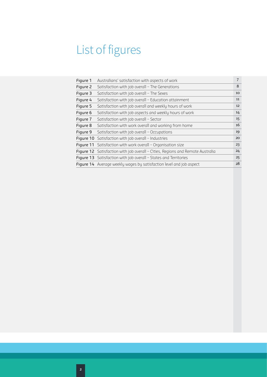## <span id="page-3-0"></span>List of figures

| Figure 1 | 7<br>Australians' satisfaction with aspects of work                                   |    |  |  |  |  |
|----------|---------------------------------------------------------------------------------------|----|--|--|--|--|
| Figure 2 | Satisfaction with job overall - The Generations                                       | 8  |  |  |  |  |
| Figure 3 | Satisfaction with job overall - The Sexes                                             | 10 |  |  |  |  |
| Figure 4 | Satisfaction with job overall – Education attainment                                  | 11 |  |  |  |  |
| Figure 5 | Satisfaction with job overall and weekly hours of work                                | 12 |  |  |  |  |
| Figure 6 | Satisfaction with job aspects and weekly hours of work                                | 14 |  |  |  |  |
| Figure 7 | Satisfaction with job overall - Sector                                                | 15 |  |  |  |  |
| Figure 8 | Satisfaction with work overall and working from home                                  | 16 |  |  |  |  |
| Figure 9 | Satisfaction with job overall - Occupations                                           | 19 |  |  |  |  |
|          | <b>Figure 10</b> Satisfaction with job overall – Industries                           | 20 |  |  |  |  |
|          | <b>Figure 11</b> Satisfaction with work overall – Organisation size                   | 23 |  |  |  |  |
|          | <b>Figure 12</b> Satisfaction with job overall – Cities, Regions and Remote Australia | 24 |  |  |  |  |
|          | <b>Figure 13</b> Satisfaction with job overall – States and Territories               | 25 |  |  |  |  |
|          | Figure 14 Average weekly wages by satisfaction level and job aspect                   | 28 |  |  |  |  |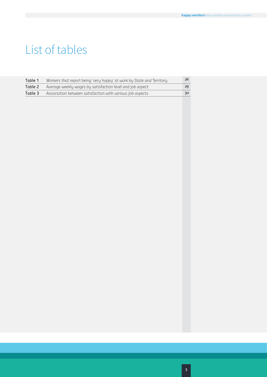## List of tables

| Table 1 | Workers that report being 'very happy' at work by State and Territory | 26 |
|---------|-----------------------------------------------------------------------|----|
| Table 2 | Average weekly wages by satisfaction level and job aspect             | 29 |
| Table 3 | Association between satisfaction with various job aspects             | 30 |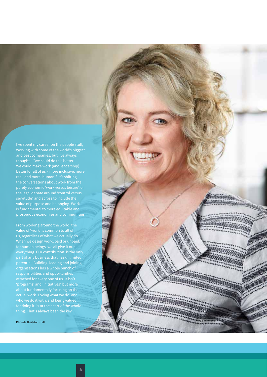I've spent my career on the people stuff, working with some of the world's biggest and best companies, but I've always thought – "we could do this better. We could make work (and leadership) real, and more 'human'". It's shifting the legal debate around 'control versus value of purpose and belonging. Work is fundamental to more equitable and prosperous economies and communities.

From working around the world, the value of 'work' is common to all of us, regardless of what we actually do. When we design work, paid or unpaid, for human beings, we all give it our everything. Our contribution, is the only part of any business that has unlimited potential. Building, leading and joining organisations has a whole bunch of responsibilities and opportunities 'programs' and 'initiatives', but more about fundamentally focusing on the actual work. Loving what we do, and who we do it with, and being valued for doing it, is at the heart of the whole thing. That's always been the key.

Rhonda Brighton-Hall

<span id="page-5-0"></span>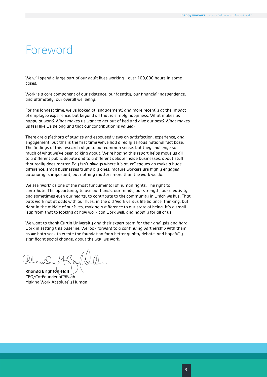## Foreword

We will spend a large part of our adult lives working – over 100,000 hours in some cases.

Work is a core component of our existence, our identity, our financial independence, and ultimately, our overall wellbeing.

For the longest time, we've looked at 'engagement', and more recently at the impact of employee experience, but beyond all that is simply happiness. What makes us happy at work? What makes us want to get out of bed and give our best? What makes us feel like we belong and that our contribution is valued?

There are a plethora of studies and espoused views on satisfaction, experience, and engagement, but this is the first time we've had a really serious national fact base. The findings of this research align to our common sense, but they challenge so much of what we've been talking about. We're hoping this report helps move us all to a different public debate and to a different debate inside businesses, about stuff that really does matter. Pay isn't always where it's at, colleagues do make a huge difference, small businesses trump big ones, mature workers are highly engaged, autonomy is important, but nothing matters more than the work we do.

We see 'work' as one of the most fundamental of human rights. The right to contribute. The opportunity to use our hands, our minds, our strength, our creativity and sometimes even our hearts, to contribute to the community in which we live. That puts work not at odds with our lives, in the old 'work versus life balance' thinking, but right in the middle of our lives, making a difference to our state of being. It's a small leap from that to looking at how work can work well, and happily for all of us.

We want to thank Curtin University and their expert team for their analysis and hard work in setting this baseline. We look forward to a continuing partnership with them, as we both seek to create the foundation for a better quality debate, and hopefully significant social change, about the way we work.

**Rhonda Brighton-Hall** CEO/Co-Founder of mwah. Making Work Absolutely Human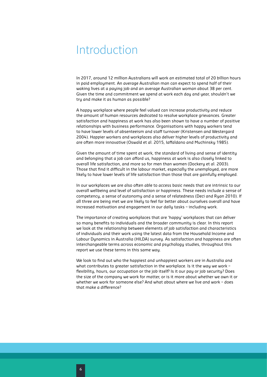## <span id="page-7-0"></span>Introduction

In 2017, around 12 million Australians will work an estimated total of 20 billion hours in paid employment. An average Australian man can expect to spend half of their waking lives at a paying job and an average Australian woman about 38 per cent. Given the time and commitment we spend at work each day and year, shouldn't we try and make it as human as possible?

A happy workplace where people feel valued can increase productivity and reduce the amount of human resources dedicated to resolve workplace grievances. Greater satisfaction and happiness at work has also been shown to have a number of positive relationships with business performance. Organisations with happy workers tend to have lower levels of absenteeism and staff turnover (Kristensen and Westergard 2004). Happier workers and workplaces also deliver higher levels of productivity and are often more innovative (Oswald et al. 2015, Iaffaldano and Muchinsky 1985).

Given the amount of time spent at work, the standard of living and sense of identity and belonging that a job can afford us, happiness at work is also closely linked to overall life satisfaction, and more so for men than women (Dockery et al. 2003). Those that find it difficult in the labour market, especially the unemployed, are more likely to have lower levels of life satisfaction than those that are gainfully employed.

In our workplaces we are also often able to access basic needs that are intrinsic to our overall wellbeing and level of satisfaction or happiness. These needs include a sense of competency, a sense of autonomy and a sense of relatedness (Deci and Ryan 2010). If all three are being met we are likely to feel far better about ourselves overall and have increased motivation and engagement in our daily tasks – including work.

The importance of creating workplaces that are 'happy' workplaces that can deliver so many benefits to individuals and the broader community is clear. In this report we look at the relationship between elements of job satisfaction and characteristics of individuals and their work using the latest data from the Household Income and Labour Dynamics in Australia (HILDA) survey. As satisfaction and happiness are often interchangeable terms across economic and psychology studies, throughout this report we use these terms in this same way.

We look to find out who the happiest and unhappiest workers are in Australia and what contributes to greater satisfaction in the workplace. Is it the way we work flexibility, hours, our occupation or the job itself? Is it our pay or job security? Does the size of the company we work for matter, or is it more about whether we own it or whether we work for someone else? And what about where we live and work – does that make a difference?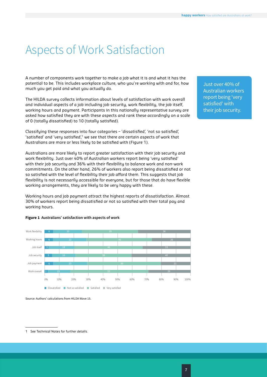## <span id="page-8-0"></span>Aspects of Work Satisfaction

A number of components work together to make a job what it is and what it has the potential to be. This includes workplace culture, who you're working with and for, how much you get paid and what you actually do.

The HILDA survey collects information about levels of satisfaction with work overall and individual aspects of a job including job security, work flexibility, the job itself, working hours and payment. Participants in this nationally representative survey are asked how satisfied they are with these aspects and rank these accordingly on a scale of 0 (totally dissatisfied) to 10 (totally satisfied).

Classifying these responses into four categories – 'dissatisfied', 'not so satisfied', 'satisfied' and 'very satisfied', $1$  we see that there are certain aspects of work that Australians are more or less likely to be satisfied with (Figure 1).

Australians are more likely to report greater satisfaction with their job security and work flexibility. Just over 40% of Australian workers report being 'very satisfied' with their job security and 36% with their flexibility to balance work and non-work commitments. On the other hand, 26% of workers also report being dissatisfied or not so satisfied with the level of flexibility their job afford them. This suggests that job flexibility is not necessarily accessible for everyone, but for those that do have flexible working arrangements, they are likely to be very happy with these.

Working hours and job payment attract the highest reports of dissatisfaction. Almost 30% of workers report being dissatisfied or not so satisfied with their total pay and working hours.



### **Figure 1 Australians' satisfaction with aspects of work**

Source: Authors' calculations from HILDA Wave 15.

Just over 40% of Australian workers report being 'very satisfied' with their job security.

<sup>1</sup> See Technical Notes for further details.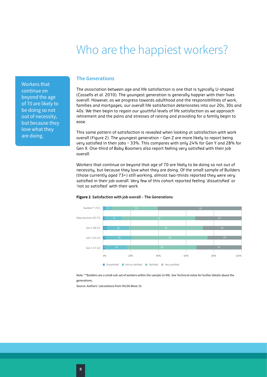## Who are the happiest workers?

<span id="page-9-0"></span>Workers that continue on beyond the age of 70 are likely to be doing so not out of necessity, but because they love what they are doing.

## **The Generations**

The association between age and life satisfaction is one that is typically U-shaped (Cassells et al. 2010). The youngest generation is generally happier with their lives overall. However, as we progress towards adulthood and the responsibilities of work, families and mortgages, our overall life satisfaction deteriorates into our 20s, 30s and 40s. We then begin to regain our youthful levels of life satisfaction as we approach retirement and the pains and stresses of raising and providing for a family begin to ease.

This same pattern of satisfaction is revealed when looking at satisfaction with work overall (Figure 2). The youngest generation – Gen Z are more likely to report being very satisfied in their jobs – 33%. This compares with only 24% for Gen Y and 28% for Gen X. One-third of Baby Boomers also report feeling very satisfied with their job overall.

Workers that continue on beyond that age of 70 are likely to be doing so not out of necessity, but because they love what they are doing. Of the small sample of Builders (those currently aged 73+) still working, almost two-thirds reported they were very satisfied in their job overall. Very few of this cohort reported feeling 'dissatisfied' or 'not so satisfied' with their work.



### **Figure 2 Satisfaction with job overall – The Generations**

Note: \*\*Builders are a small sub-set of workers within the sample (n=99). See Technical notes for further details about the generations.

Source: Authors' calculations from HILDA Wave 15.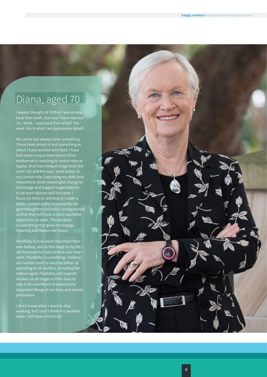## Diana, aged 70

I always thought at 70 that I would step back from work, but now I have reached 70, I think – step back from what? The work I do is what I am passionate about!

My career has always been something I have been proud of and something at which I have worked very hard. I have had many unique experiences (from mathematics teaching to senior roles at Apple), that have helped shape both the work I do and the way I work today. In my current role, I am using my skills and networks to drive meaningful change to encourage and support organisations to be more diverse and inclusive. I focus my time on working to create a better context within business for my granddaughters and other young women so that they will have a more equitable experience at work. This purpose is something that gives me energy, meaning and makes me happy.

Flexibility is now more important than ever before, and at this stage in my life I am fortunate to have control over how I work. Flexibility is something, I believe, our leaders need to become better at providing to all workers, including the mature aged. Flexibility will support workers at all stages in their lives to stay in the workforce to balance the important things in our lives and remain productive.

I don't know when I want to stop working, but I don't think it is anytime soon; I still have a lot to do!

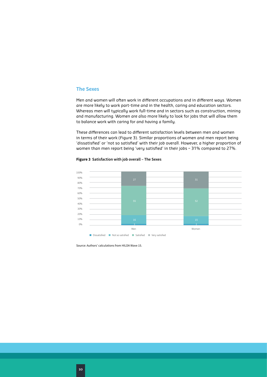## **The Sexes**

Men and women will often work in different occupations and in different ways. Women are more likely to work part-time and in the health, caring and education sectors. Whereas men will typically work full-time and in sectors such as construction, mining and manufacturing. Women are also more likely to look for jobs that will allow them to balance work with caring for and having a family.

These differences can lead to different satisfaction levels between men and women in terms of their work (Figure 3). Similar proportions of women and men report being 'dissatisfied' or 'not so satisfied' with their job overall. However, a higher proportion of women than men report being 'very satisfied' in their jobs – 31% compared to 27%.



### **Figure 3 Satisfaction with job overall – The Sexes**

Source: Authors' calculations from HILDA Wave 15.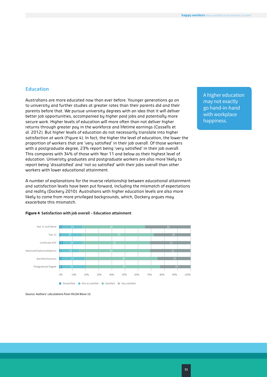## **Education**

Australians are more educated now than ever before. Younger generations go on to university and further studies at greater rates than their parents did and their parents before that. We pursue university degrees with an idea that it will deliver better job opportunities, accompanied by higher paid jobs and potentially more secure work. Higher levels of education will more often than not deliver higher returns through greater pay in the workforce and lifetime earnings (Cassells et al. 2012). But higher levels of education do not necessarily translate into higher satisfaction at work (Figure 4). In fact, the higher the level of education, the lower the proportion of workers that are 'very satisfied' in their job overall. Of those workers with a postgraduate degree, 23% report being 'very satisfied' in their job overall. This compares with 34% of those with Year 11 and below as their highest level of education. University graduates and postgraduate workers are also more likely to report being 'dissatisfied' and 'not so satisfied' with their jobs overall than other workers with lower educational attainment.

A number of explanations for the inverse relationship between educational attainment and satisfaction levels have been put forward, including the mismatch of expectations and reality (Dockery 2010). Australians with higher education levels are also more likely to come from more privileged backgrounds, which, Dockery argues may exacerbate this mismatch.



### **Figure 4 Satisfaction with job overall – Education attainment**

Source: Authors' calculations from HILDA Wave 15.

A higher education may not exactly go hand-in-hand with workplace happiness.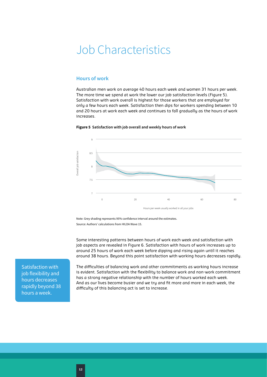## <span id="page-13-0"></span>Job Characteristics

## **Hours of work**

Australian men work on average 40 hours each week and women 31 hours per week. The more time we spend at work the lower our job satisfaction levels (Figure 5). Satisfaction with work overall is highest for those workers that are employed for only a few hours each week. Satisfaction then dips for workers spending between 10 and 20 hours at work each week and continues to fall gradually as the hours of work increases.



### **Figure 5 Satisfaction with job overall and weekly hours of work**

Note: Grey shading represents 95% confidence interval around the estimates. Source: Authors' calculations from HILDA Wave 15.

Some interesting patterns between hours of work each week and satisfaction with job aspects are revealed in Figure 6. Satisfaction with hours of work increases up to around 25 hours of work each week before dipping and rising again until it reaches around 38 hours. Beyond this point satisfaction with working hours decreases rapidly.

Satisfaction with job flexibility and hours decreases rapidly beyond 38 hours a week.

The difficulties of balancing work and other commitments as working hours increase is evident. Satisfaction with the flexibility to balance work and non-work commitment has a strong negative relationship with the number of hours worked each week. And as our lives become busier and we try and fit more and more in each week, the difficulty of this balancing act is set to increase.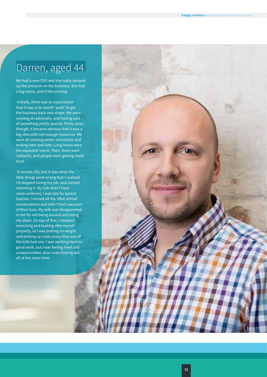## Darren, aged 44

We had a new CEO and she really ramped up the pressure on the business. She had a big vision, and it felt exciting.

 Initially, there was an expectation that it was a six month 'push' to get the business back into shape. We were running on adrenalin, and feeling part of something pretty special. Pretty soon, though, it became obvious that it was a big idea with not enough resources. We were all starting earlier and earlier and ending later and later. Long hours were the expected 'norm'. Then, there were cutbacks, and people were getting really tired.

 It sounds silly, but it was when the little things went wrong that I realised I'd stopped loving my job, and started resenting it. My kids didn't have clean uniforms, I was late for parent teacher, I missed all the 'after school' conversations and didn't feel I was part of their lives. My wife was disappointed in me for not being around and doing my share. On top of that, I stopped exercising and looking after myself properly, so I was putting on weight and picking up colds every time one of the kids had one. I was working hard on good work, but I was feeling tired and unappreciated, plus I was missing out, all at the same time.

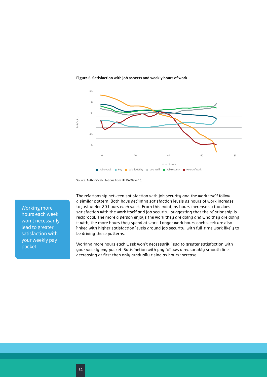

### **Figure 6 Satisfaction with job aspects and weekly hours of work**

Source: Authors' calculations from HILDA Wave 15.

Working more hours each week won't necessarily lead to greater satisfaction with your weekly pay packet.

The relationship between satisfaction with job security and the work itself follow a similar pattern. Both have declining satisfaction levels as hours of work increase to just under 20 hours each week. From this point, as hours increase so too does satisfaction with the work itself and job security, suggesting that the relationship is reciprocal. The more a person enjoys the work they are doing and who they are doing it with, the more hours they spend at work. Longer work hours each week are also linked with higher satisfaction levels around job security, with full-time work likely to be driving these patterns.

Working more hours each week won't necessarily lead to greater satisfaction with your weekly pay packet. Satisfaction with pay follows a reasonably smooth line, decreasing at first then only gradually rising as hours increase.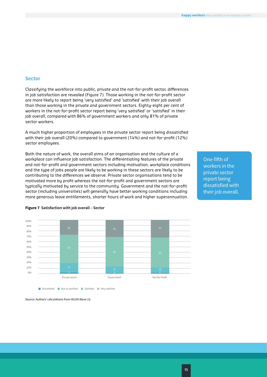### **Sector**

Classifying the workforce into public, private and the not-for-profit sector, differences in job satisfaction are revealed (Figure 7). Those working in the not-for-profit sector are more likely to report being 'very satisfied' and 'satisfied' with their job overall than those working in the private and government sectors. Eighty-eight per cent of workers in the not-for-profit sector report being 'very satisfied' or 'satisfied' in their job overall, compared with 86% of government workers and only 81% of private sector workers.

A much higher proportion of employees in the private sector report being dissatisfied with their job overall (20%) compared to government (14%) and not-for-profit (12%) sector employees.

Both the nature of work, the overall aims of an organisation and the culture of a workplace can influence job satisfaction. The differentiating features of the private and not-for-profit and government sectors including motivation, workplace conditions and the type of jobs people are likely to be working in these sectors are likely to be contributing to the differences we observe. Private sector organisations tend to be motivated more by profit whereas the not-for-profit and government sectors are typically motivated by service to the community. Government and the not-for-profit sector (including universities) will generally have better working conditions including more generous leave entitlements, shorter hours of work and higher superannuation.

One-fifth of workers in the private sector report being dissatisfied with their job overall.



### **Figure 7 Satisfaction with job overall – Sector**

**Dissatisfied Not so satisfied** Satisfied Very satisfied

Source: Authors' calculations from HILDA Wave 15.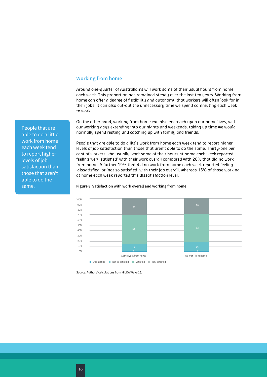## **Working from home**

Around one-quarter of Australian's will work some of their usual hours from home each week. This proportion has remained steady over the last ten years. Working from home can offer a degree of flexibility and autonomy that workers will often look for in their jobs. It can also cut-out the unnecessary time we spend commuting each week to work.

On the other hand, working from home can also encroach upon our home lives, with our working days extending into our nights and weekends, taking up time we would normally spend resting and catching up with family and friends.

People that are able to do a little work from home each week tend to report higher levels of job satisfaction than those that aren't able to do the same. Thirty-one per cent of workers who usually work some of their hours at home each week reported feeling 'very satisfied' with their work overall compared with 28% that did no work from home. A further 19% that did no work from home each week reported feeling 'dissatisfied' or 'not so satisfied' with their job overall, whereas 15% of those working at home each week reported this dissatisfaction level.

### **Figure 8 Satisfaction with work overall and working from home**



Source: Authors' calculations from HILDA Wave 15.

People that are able to do a little work from home each week tend to report higher levels of job satisfaction than those that aren't able to do the same.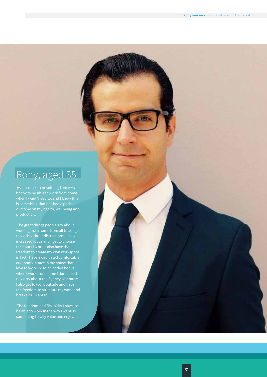## Rony, aged 35

happy to be able to work from home is something that has had a positive outcome on my health, wellbeing and

 The great things people say about working from home from all true. I get to work without distractions, I have increased focus and I get to choose the hours I work. I also have the freedom to create my own workspace, in fact I have a dedicated comfortable ergonomic space in my house that I love to work in. As an added bonus, when I work from home I don't need to worry about the Sydney commute. I also get to work outside and have the freedom to structure my work and breaks as I want to.

 The freedom and flexibility I have, to be able to work in the way I want, is something I really value and enjoy.

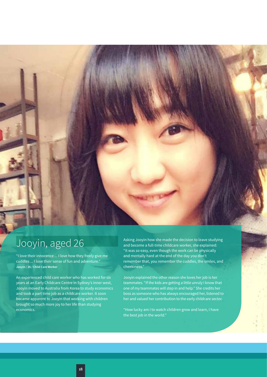## Jooyin, aged 26

"I love their innocence ... I love how they freely give me cuddles ... I love their sense of fun and adventure." **Jooyin / 26 / Child Care Worker**

An experienced child care worker who has worked for six years at an Early Childcare Centre in Sydney's inner west, Jooyin moved to Australia from Korea to study economics and took a part time job as a childcare worker. It soon became apparent to Jooyin that working with children brought so much more joy to her life than studying economics.

Asking Jooyin how she made the decision to leave studying and become a full-time childcare worker, she explained: "it was so easy, even though the work can be physically and mentally hard at the end of the day you don't remember that, you remember the cuddles, the smiles, and cheekiness."

Jooyin explained the other reason she loves her job is her teammates. "If the kids are getting a little unruly I know that one of my teammates will step in and help." She credits her boss as someone who has always encouraged her, listened to her and valued her contribution to the early childcare sector.

"How lucky am I to watch children grow and learn, I have the best job in the world."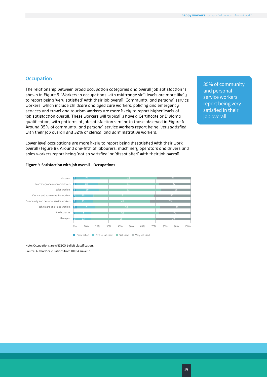## **Occupation**

The relationship between broad occupation categories and overall job satisfaction is shown in Figure 9. Workers in occupations with mid-range skill levels are more likely to report being 'very satisfied' with their job overall. Community and personal service workers, which include childcare and aged care workers, policing and emergency services and travel and tourism workers are more likely to report higher levels of job satisfaction overall. These workers will typically have a Certificate or Diploma qualification, with patterns of job satisfaction similar to those observed in Figure 4. Around 35% of community and personal service workers report being 'very satisfied' with their job overall and 32% of clerical and administrative workers.

Lower level occupations are more likely to report being dissatisfied with their work overall (Figure 8). Around one-fifth of labourers, machinery operators and drivers and sales workers report being 'not so satisfied' or 'dissatisfied' with their job overall.

35% of community and personal service workers report being very satisfied in their iob overall.

### **Figure 9 Satisfaction with job overall – Occupations**



Note: Occupations are ANZSCO 1-digit classification. Source: Authors' calculations from HILDA Wave 15.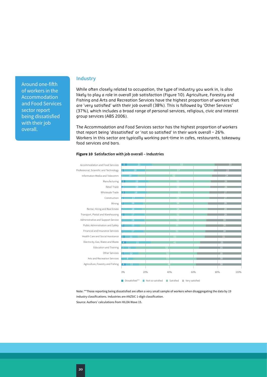Around one-fifth of workers in the Accommodation and Food Services sector report being dissatisfied with their job overall.

## **Industry**

While often closely related to occupation, the type of industry you work in, is also likely to play a role in overall job satisfaction (Figure 10). Agriculture, Forestry and Fishing and Arts and Recreation Services have the highest proportion of workers that are 'very satisfied' with their job overall (38%). This is followed by 'Other Services' (37%), which includes a broad range of personal services, religious, civic and interest group services (ABS 2006).

The Accommodation and Food Services sector has the highest proportion of workers that report being 'dissatisfied' or 'not so satisfied' in their work overall – 26%. Workers in this sector are typically working part-time in cafes, restaurants, takeaway food services and bars.

### Accommodation and Food Services Professional, Scientific and Technology Information Media and Telecomm Manufacturing Retail Trade Wholesale Trade Construction Mining Rental, Hiring and Real Estate Transport, Postal and Warehousing Administrative and Support Service Public Administration and Safety Financial and Insurance Services Health Care and Social Assistance Electricity, Gas, Water and Waste Education and Training Other Services Arts and Recreation Services Agriculture, Forestry and Fishing 0% 20% 40% 60% 80% 100%

### **Figure 10 Satisfaction with job overall – Industries**

Note: \*\*Those reporting being dissatisfied are often a very small sample of workers when disaggregating the data by 19 industry classifications. Industries are ANZSIC 1-digit classification. Source: Authors' calculations from HILDA Wave 15.

**Dissatisfied\*\*** Not so satisfied Satisfied Very satisfied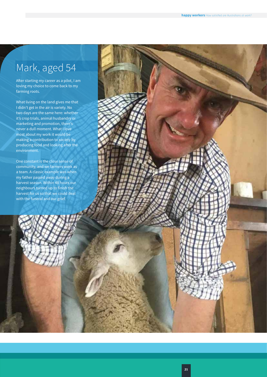## Mark, aged 54

After starting my career as a pilot, I am loving my choice to come back to my farming roots.

What living on the land gives me that I didn't get in the air is variety. No two days are the same here: whether it's crop trials, animal husbandry or marketing and promotion, there's never a dull moment. What I love most about my work it would be making a contribution to society by producing food and looking after the environment.

One constant is the close sense of community, and we farmers work as a team. A classic example was when my father passed away during a harvest season. Within 48 hours our neighbours turned up to finish the harvest for us so that we could deal with the funeral and our grief.

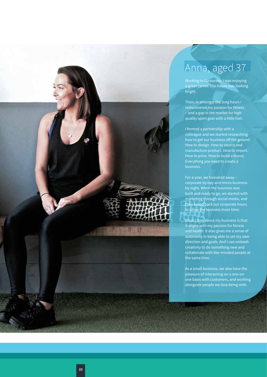

## Anna, aged 37

Working in Corporate, I was enjoying a great career. The future was looking bright.

Then, in amongst the long hours I rediscovered my passion for fitness – and a gap in the market for high quality sport gear with a little flair.

I formed a partnership with a colleague and we started researching how to get our business off the ground. How to design. How to source and manufacture product. How to import. How to price. How to build a brand. Everything you need to create a business.

For a year, we beavered away – corporate by day and micro-business by night. When the business was built and ready to go, we started with marketing through social media, and then eased back our corporate hours to allow the business more time.

What I love about my business is that it aligns with my passion for fitness and health. It also gives me a sense of autonomy in being able to set my own direction and goals. And I can unleash creativity to do something new and collaborate with like-minded people at the same time.

As a small business, we also have the pleasure of interacting on a one-onone basis with customers, and working alongside people we love being with.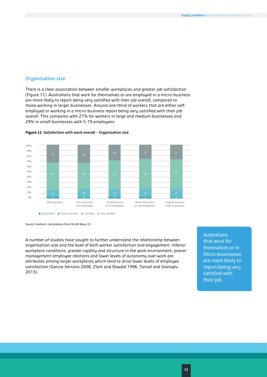## **Organisation size**

There is a clear association between smaller workplaces and greater job satisfaction (Figure 11). Australians that work for themselves or are employed in a micro-business are more likely to report being very satisfied with their job overall, compared to those working in larger businesses. Around one-third of workers that are either selfemployed or working in a micro-business report being very satisfied with their job overall. This compares with 27% for workers in large and medium businesses and 29% in small businesses with 5-19 employees.



### **Figure 11 Satisfaction with work overall – Organisation size**

Source: Authors' calculations from HILDA Wave 15.

A number of studies have sought to further understand the relationship between organisation size and the level of both worker satisfaction and engagement. Inferior workplace conditions, greater rigidity and structure in the work environment, poorer management-employee relations and lower levels of autonomy over work are attributes among larger workplaces which tend to drive lower levels of employee satisfaction (Garcia-Serrano 2008; Clark and Oswald 1996; Tansel and Gazioglu 2013).

Australians that work for themselves or in Micro-businesses are more likely to report being very satisfied with their job.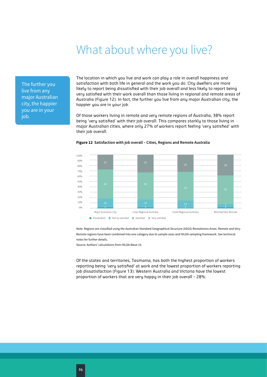## What about where you live?

<span id="page-25-0"></span>The further you live from any major Australian city, the happier you are in your iob.

The location in which you live and work can play a role in overall happiness and satisfaction with both life in general and the work you do. City dwellers are more likely to report being dissatisfied with their job overall and less likely to report being very satisfied with their work overall than those living in regional and remote areas of Australia (Figure 12). In fact, the further you live from any major Australian city, the happier you are in your job.

Of those workers living in remote and very remote regions of Australia, 38% report being 'very satisfied' with their job overall. This compares starkly to those living in major Australian cities, where only 27% of workers report feeling 'very satisfied' with their job overall.



### **Figure 12 Satisfaction with job overall – Cities, Regions and Remote Australia**

Note: Regions are classified using the Australian Standard Geographical Structure (ASGS) Remoteness Areas. Remote and Very Remote regions have been combined into one category due to sample sizes and HILDA sampling framework. See technical notes for further details.

Source: Authors' calculations from HILDA Wave 15.

Of the states and territories, Tasmania, has both the highest proportion of workers reporting being 'very satisfied' at work and the lowest proportion of workers reporting job dissatisfaction (Figure 13). Western Australia and Victoria have the lowest proportion of workers that are very happy in their job overall – 28%.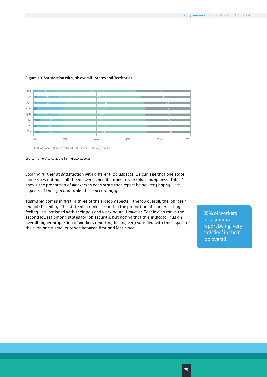

### **Figure 13 Satisfaction with job overall - States and Territories**

Source: Authors' calculations from HILDA Wave 15.

Looking further at satisfaction with different job aspects, we can see that one state alone does not have all the answers when it comes to workplace happiness. Table 1 shows the proportion of workers in each state that report being 'very happy' with aspects of their job and ranks these accordingly.

Tasmania comes in first in three of the six job aspects – the job overall, the job itself and job flexibility. The state also ranks second in the proportion of workers citing feeling very satisfied with their pay and work hours. However, Tassie also ranks the second lowest among states for job security, but noting that this indicator has an overall higher proportion of workers reporting feeling very satisfied with this aspect of their job and a smaller range between first and last place.

35% of workers in Tasmania report being 'very satisfied' in their job overall.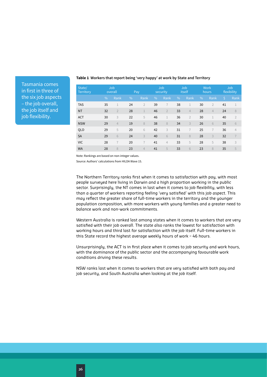| State/<br><b>Territory</b> |               | Job<br>overall |    | Pay            |    | Job<br>security |      | Job<br>itself  |      | <b>Work</b><br>hours |                    | Job<br>flexibility |
|----------------------------|---------------|----------------|----|----------------|----|-----------------|------|----------------|------|----------------------|--------------------|--------------------|
|                            | $\frac{0}{0}$ | Rank           | %  | Rank           | %  | Rank            | $\%$ | Rank           | $\%$ | Rank                 | $\dot{\mathsf{S}}$ | Rank               |
| <b>TAS</b>                 | 35            |                | 24 | $\overline{2}$ | 39 | $\overline{1}$  | 38   | $\mathbf 1$    | 30   | $\overline{2}$       | 41                 | 1                  |
| <b>NT</b>                  | 32            | $\overline{2}$ | 28 | $\mathbf{1}$   | 46 | $\overline{2}$  | 33   | $\overline{4}$ | 28   | $\overline{4}$       | 24                 | 8                  |
| <b>ACT</b>                 | 30            | 3              | 22 | 5              | 46 | $\mathbf{1}$    | 36   | $\overline{2}$ | 30   |                      | 40                 | $\overline{2}$     |
| <b>NSW</b>                 | 29            | $\overline{4}$ | 19 | 8              | 38 | 8               | 34   | 3              | 26   | 6                    | 35                 | 6                  |
| QLD                        | 29            | 5              | 20 | 6              | 42 | 3               | 31   | $\overline{7}$ | 25   | $\overline{1}$       | 36                 | $\overline{4}$     |
| <b>SA</b>                  | 29            | 6              | 24 | 3              | 40 | 6               | 31   | 8              | 28   | 3                    | 32                 | $\overline{7}$     |
| <b>VIC</b>                 | 28            |                | 20 | $\overline{1}$ | 41 | $\overline{4}$  | 33   | 5              | 28   | 5                    | 38                 | 3                  |
| <b>WA</b>                  | 28            | 8              | 23 | $\overline{4}$ | 41 | 5               | 33   | 6              | 23   | 8                    | 35                 | 5                  |

### **Table 1 Workers that report being 'very happy' at work by State and Territory**

Note: Rankings are based on non-integer values.

Tasmania comes in first in three of the six job aspects – the job overall, the job itself and job flexibility.

Source: Authors' calculations from HILDA Wave 15.

The Northern Territory ranks first when it comes to satisfaction with pay, with most people surveyed here living in Darwin and a high proportion working in the public sector. Surprisingly, the NT comes in last when it comes to job flexibility, with less than a quarter of workers reporting feeling 'very satisfied' with this job aspect. This may reflect the greater share of full-time workers in the territory and the younger population composition, with more workers with young families and a greater need to balance work and non-work commitments.

Western Australia is ranked last among states when it comes to workers that are very satisfied with their job overall. The state also ranks the lowest for satisfaction with working hours and third last for satisfaction with the job itself. Full-time workers in this State record the highest average weekly hours of work – 46 hours.

Unsurprisingly, the ACT is in first place when it comes to job security and work hours, with the dominance of the public sector and the accompanying favourable work conditions driving these results.

NSW ranks last when it comes to workers that are very satisfied with both pay and job security, and South Australia when looking at the job itself.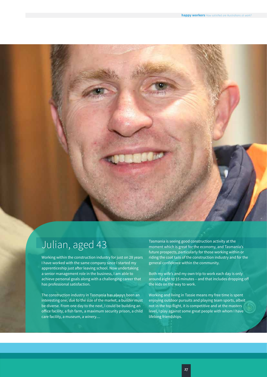## Julian, aged 43

Working within the construction industry for just on 28 years I have worked with the same company since I started my apprenticeship just after leaving school. Now undertaking a senior management role in the business, I am able to achieve personal goals along with a challenging career that has professional satisfaction.

The construction industry in Tasmania has always been an interesting one; due to the size of the market, a builder must be diverse. From one day to the next, I could be building an office facility, a fish farm, a maximum security prison, a child care facility, a museum, a winery....

Tasmania is seeing good construction activity at the moment which is great for the economy, and Tasmania's future prospects, particularly for those working within or riding the coat tails of the construction industry and for the general confidence within the community.

Both my wife's and my own trip to work each day is only around eight to 15 minutes – and that includes dropping off the kids on the way to work.

Working and living in Tassie means my free time is spent enjoying outdoor pursuits and playing team sports, albeit not in the top flight, it is competitive and at the masters level, I play against some great people with whom I have lifelong friendships.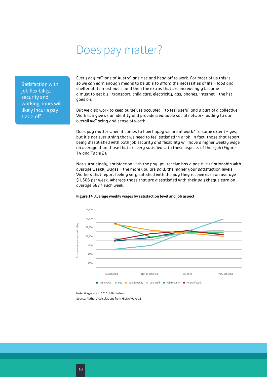## Does pay matter?

<span id="page-29-0"></span>Satisfaction with job flexibility, security and working hours will likely incur a pay trade-off.

Every day millions of Australians rise and head off to work. For most of us this is so we can earn enough means to be able to afford the necessities of life – food and shelter at its most basic, and then the extras that are increasingly become a must to get by – transport, child care, electricity, gas, phones, internet – the list goes on.

But we also work to keep ourselves occupied – to feel useful and a part of a collective. Work can give us an identity and provide a valuable social network, adding to our overall wellbeing and sense of worth.

Does pay matter when it comes to how happy we are at work? To some extent – yes, but it's not everything that we need to feel satisfied in a job. In fact, those that report being dissatisfied with both job security and flexibility will have a higher weekly wage on average than those that are very satisfied with these aspects of their job (Figure 14 and Table 2).

Not surprisingly, satisfaction with the pay you receive has a positive relationship with average weekly wages – the more you are paid, the higher your satisfaction levels. Workers that report feeling very satisfied with the pay they receive earn on average \$1,506 per week, whereas those that are dissatisfied with their pay cheque earn on average \$877 each week.

### **Figure 14 Average weekly wages by satisfaction level and job aspect**



Note: Wages are in 2015 dollar values.

Source: Authors' calculations from HILDA Wave 15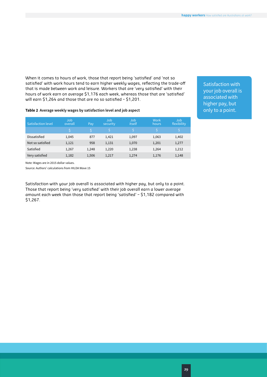When it comes to hours of work, those that report being 'satisfied' and 'not so satisfied' with work hours tend to earn higher weekly wages, reflecting the trade-off that is made between work and leisure. Workers that are 'very satisfied' with their hours of work earn on average \$1,176 each week, whereas those that are 'satisfied' will earn \$1,264 and those that are no so satisfied – \$1,201.

Satisfaction with your job overall is associated with higher pay, but only to a point.

### **Table 2 Average weekly wages by satisfaction level and job aspect**

| <b>Satisfaction level</b> | Job.<br>overall | Pay   | <b>Job</b><br>security | Job<br><i>itself</i> | Work<br>hours | Job<br>flexibility |
|---------------------------|-----------------|-------|------------------------|----------------------|---------------|--------------------|
|                           |                 |       |                        |                      |               |                    |
| Dissatisfied              | 1,045           | 877   | 1,421                  | 1,097                | 1,063         | 1,402              |
| Not so satisfied          | 1,121           | 958   | 1,131                  | 1,070                | 1,201         | 1,277              |
| Satisfied                 | 1,267           | 1,248 | 1,220                  | 1,238                | 1,264         | 1,212              |
| Very satisfied            | 1,182           | 1,506 | 1,217                  | 1,274                | 1,176         | 1,148              |

Note: Wages are in 2015 dollar values.

Source: Authors' calculations from HILDA Wave 15

Satisfaction with your job overall is associated with higher pay, but only to a point. Those that report being 'very satisfied' with their job overall earn a lower average amount each week than those that report being 'satisfied' – \$1,182 compared with \$1,267.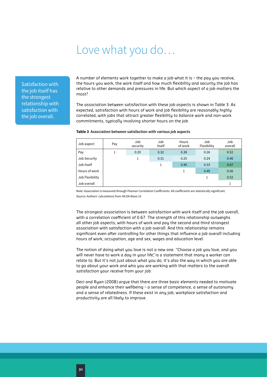## Love what you do…

<span id="page-31-0"></span>Satisfaction with the job itself has the strongest relationship with satisfaction with the job overall.

A number of elements work together to make a job what it is – the pay you receive, the hours you work, the work itself and how much flexibility and security the job has relative to other demands and pressures in life. But which aspect of a job matters the most?

The association between satisfaction with these job aspects is shown in Table 3. As expected, satisfaction with hours of work and job flexibility are reasonably highly correlated, with jobs that attract greater flexibility to balance work and non-work commitments, typically involving shorter hours on the job.

### **Table 3 Association between satisfaction with various job aspects**

| Job aspect      | Pay | Job<br>security | Job<br>itself | Hours<br>of work | Job<br>Flexibility | Job<br>overall |
|-----------------|-----|-----------------|---------------|------------------|--------------------|----------------|
| Pay             | 1   | 0.29            | 0.32          | 0.38             | 0.26               | 0.52           |
| Job Security    |     | 1               | 0.31          | 0.25             | 0.24               | 0.46           |
| Job Itself      |     |                 |               | 0.40             | 0.33               | 0.67           |
| Hours of work   |     |                 |               | 1                | 0.49               | 0.56           |
| Job Flexibility |     |                 |               |                  |                    | 0.52           |
| Job overall     |     |                 |               |                  |                    | 1              |

Note: Association is measured through Pearson Correlation Coefficients. All coefficients are statistically significant. Source: Authors' calculations from HILDA Wave 15

The strongest association is between satisfaction with work itself and the job overall, with a correlation coefficient of 0.67. The strength of this relationship outweighs all other job aspects, with hours of work and pay the second and third strongest association with satisfaction with a job overall. And this relationship remains significant even after controlling for other things that influence a job overall including hours of work, occupation, age and sex, wages and education level.

The notion of doing what you love is not a new one. "Choose a job you love, and you will never have to work a day in your life", is a statement that many a worker can relate to. But it's not just about what you do, it's also the way in which you are able to go about your work and who you are working with that matters to the overall satisfaction your receive from your job.

Deci and Ryan (2008) argue that there are three basic elements needed to motivate people and enhance their wellbeing – a sense of competence, a sense of autonomy and a sense of relatedness. If these exist in any job, workplace satisfaction and productivity are all likely to improve.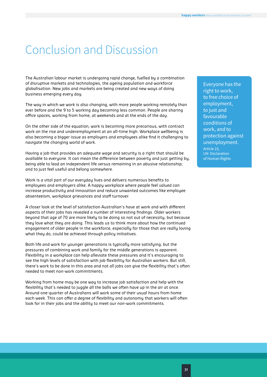## <span id="page-32-0"></span>Conclusion and Discussion

The Australian labour market is undergoing rapid change, fuelled by a combination of disruptive markets and technologies, the ageing population and workforce globalisation. New jobs and markets are being created and new ways of doing business emerging every day.

The way in which we work is also changing, with more people working remotely than ever before and the 9 to 5 working day becoming less common. People are sharing office spaces, working from home, at weekends and at the ends of the day.

On the other side of the equation, work is becoming more precarious, with contract work on the rise and underemployment at an all-time high. Workplace wellbeing is also becoming a bigger issue as employers and employees alike find it challenging to navigate the changing world of work.

Having a job that provides an adequate wage and security is a right that should be available to everyone. It can mean the difference between poverty and just getting by, being able to lead an independent life versus remaining in an abusive relationship; and to just feel useful and belong somewhere.

Work is a vital part of our everyday lives and delivers numerous benefits to employees and employers alike. A happy workplace where people feel valued can increase productivity and innovation and reduce unwanted outcomes like employee absenteeism, workplace grievances and staff turnover.

A closer look at the level of satisfaction Australian's have at work and with different aspects of their jobs has revealed a number of interesting findings. Older workers beyond that age of 70 are more likely to be doing so not out of necessity, but because they love what they are doing. This leads us to think more about how the continued engagement of older people in the workforce, especially for those that are really loving what they do, could be achieved through policy initiatives.

Both life and work for younger generations is typically more satisfying, but the pressures of combining work and family for the middle generations is apparent. Flexibility in a workplace can help alleviate these pressures and it's encouraging to see the high levels of satisfaction with job flexibility for Australian workers. But still, there's work to be done in this area and not all jobs can give the flexibility that's often needed to meet non-work commitments.

Working from home may be one way to increase job satisfaction and help with the flexibility that's needed to juggle all the balls we often have up in the air at once. Around one-quarter of Australians will work some of their usual hours from home each week. This can offer a degree of flexibility and autonomy that workers will often look for in their jobs and the ability to meet our non-work commitments.

Everyone has the right to work, to free choice of employment, to just and favourable conditions of work, and to protection against unemployment. Article 23, UN Declaration of Human Rights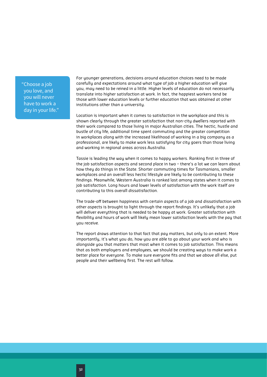"Choose a job you love, and you will never have to work a day in your life."

For younger generations, decisions around education choices need to be made carefully and expectations around what type of job a higher education will give you, may need to be reined in a little. Higher levels of education do not necessarily translate into higher satisfaction at work. In fact, the happiest workers tend be those with lower education levels or further education that was obtained at other institutions other than a university.

Location is important when it comes to satisfaction in the workplace and this is shown clearly through the greater satisfaction that non-city dwellers reported with their work compared to those living in major Australian cities. The hectic, hustle and bustle of city life, additional time spent commuting and the greater competition in workplaces along with the increased likelihood of working in a big company as a professional, are likely to make work less satisfying for city goers than those living and working in regional areas across Australia.

Tassie is leading the way when it comes to happy workers. Ranking first in three of the job satisfaction aspects and second place in two – there's a lot we can learn about how they do things in the State. Shorter commuting times for Tasmanians, smaller workplaces and an overall less hectic lifestyle are likely to be contributing to these findings. Meanwhile, Western Australia is ranked last among states when it comes to job satisfaction. Long hours and lower levels of satisfaction with the work itself are contributing to this overall dissatisfaction.

The trade-off between happiness with certain aspects of a job and dissatisfaction with other aspects is brought to light through the report findings. It's unlikely that a job will deliver everything that is needed to be happy at work. Greater satisfaction with flexibility and hours of work will likely mean lower satisfaction levels with the pay that you receive.

The report draws attention to that fact that pay matters, but only to an extent. More importantly, it's what you do, how you are able to go about your work and who is alongside you that matters that most when it comes to job satisfaction. This means that as both employers and employees, we should be creating ways to make work a better place for everyone. To make sure everyone fits and that we above all else, put people and their wellbeing first. The rest will follow.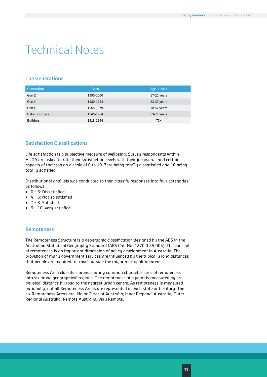## <span id="page-34-0"></span>Technical Notes

## **The Generations**

| Generation          | <b>Born</b> | Age in 2017 |
|---------------------|-------------|-------------|
| Gen Z               | 1995-2000   | 17-22 years |
| Gen Y               | 1980-1994   | 23-37 years |
| Gen X               | 1965-1979   | 38-52 years |
| <b>Baby Boomers</b> | 1945-1964   | 53-72 years |
| <b>Builders</b>     | 1918-1944   | $73+$       |

## **Satisfaction Classifications**

Life satisfaction is a subjective measure of wellbeing. Survey respondents within HILDA are asked to rate their satisfaction levels with their job overall and certain aspects of their job on a scale of 0 to 10. Zero being totally dissatisfied and 10 being totally satisfied.

Distributional analysis was conducted to then classify responses into four categories as follows:

- 0 3: Dissatisfied
- 4 6: Not so satisfied
- 7 8: Satisfied
- 9 10: Very satisfied

## **Remoteness**

The Remoteness Structure is a geographic classification designed by the ABS in the Australian Statistical Geography Standard (ABS Cat. No. 1270.0.55.005). The concept of remoteness is an important dimension of policy development in Australia. The provision of many government services are influenced by the typically long distances that people are required to travel outside the major metropolitan areas.

Remoteness Area classifies areas sharing common characteristics of remoteness into six broad geographical regions. The remoteness of a point is measured by its physical distance by road to the nearest urban centre. As remoteness is measured nationally, not all Remoteness Areas are represented in each state or territory. The six Remoteness Areas are: Major Cities of Australia; Inner Regional Australia; Outer Regional Australia; Remote Australia; Very Remote.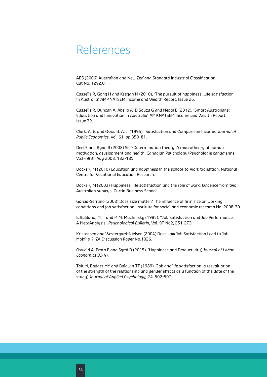## <span id="page-35-0"></span>References

ABS (2006) Australian and New Zealand Standard Industrial Classification, Cat No. 1292.0.

Cassells R, Gong H and Keegan M (2010), 'The pursuit of happiness: Life satisfaction in Australia', AMP.NATSEM Income and Wealth Report, Issue 26.

Cassells R, Duncan A, Abello A, D'Souza G and Nepal B (2012), 'Smart Australians: Education and Innovation in Australia', AMP.NATSEM Income and Wealth Report, Issue 32.

Clark, A. E. and Oswald, A. J. (1996), 'Satisfaction and Comparison Income,' *Journal of Public Economics*, Vol. 61, pp.359–81.

Deci E and Ryan R (2008) Self-Determination theory: A macrotheory of human motivation, development and health, Canadian Psychology/Psychologie canadienne, Vo.l 49(3), Aug 2008, 182-185.

Dockery M (2010) Education and happiness in the school-to-work transition, National Centre for Vocational Education Research.

Dockery M (2003) Happiness, life satisfaction and the role of work: Evidence from two Australian surveys, Curtin Business School.

Garcia-Serrano (2008) Does size matter? The influence of firm size on working conditions and job satisfaction. Institute for social and economic research No. 2008-30.

Iaffaldano, M. T and P. M. Muchinsky (1985), "Job Satisfaction and Job Performance: A MetaAnalysis" *Psychological Bulletin*, Vol. 97 No2, 251-273.

Kristensen and Westergard-Nielsen (2004) Does Low Job Satisfaction Lead to Job Mobility? IZA Discussion Paper No.1026.

Oswald A, Proto E and Sgroi D (2015), 'Happiness and Productivity', *Journal of Labor Economics 33*(4).

Tait M, Badget MY and Baldwin TT (1989), 'Job and life satisfaction: a reevaluation of the strength of the relationship and gender effects as a function of the date of the study', *Journal of Applied Psychology, 74*, 502-507.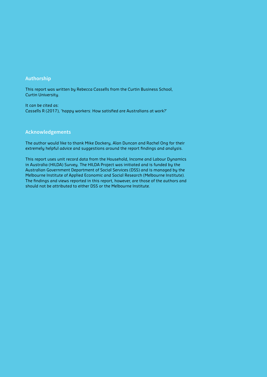## **Authorship**

This report was written by Rebecca Cassells from the Curtin Business School, Curtin University.

It can be cited as: Cassells R (2017), 'happy workers: How satisfied are Australians at work?'

### **Acknowledgements**

The author would like to thank Mike Dockery, Alan Duncan and Rachel Ong for their extremely helpful advice and suggestions around the report findings and analysis.

This report uses unit record data from the Household, Income and Labour Dynamics in Australia (HILDA) Survey. The HILDA Project was initiated and is funded by the Australian Government Department of Social Services (DSS) and is managed by the Melbourne Institute of Applied Economic and Social Research (Melbourne Institute). The findings and views reported in this report, however, are those of the authors and should not be attributed to either DSS or the Melbourne Institute.